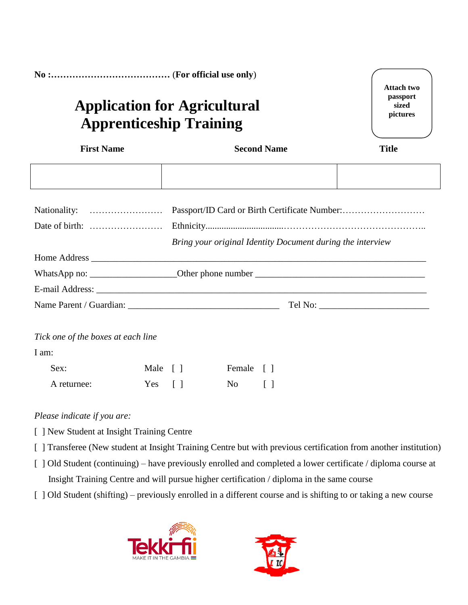| <b>Attach two</b><br>passport<br><b>Application for Agricultural</b><br>sized<br>pictures<br><b>Apprenticeship Training</b> |         |                                 |        |                                                            |  |              |
|-----------------------------------------------------------------------------------------------------------------------------|---------|---------------------------------|--------|------------------------------------------------------------|--|--------------|
| <b>First Name</b>                                                                                                           |         | <b>Second Name</b>              |        |                                                            |  | <b>Title</b> |
|                                                                                                                             |         |                                 |        |                                                            |  |              |
|                                                                                                                             |         |                                 |        | Bring your original Identity Document during the interview |  |              |
|                                                                                                                             |         |                                 |        |                                                            |  |              |
|                                                                                                                             |         |                                 |        |                                                            |  |              |
|                                                                                                                             |         |                                 |        |                                                            |  |              |
|                                                                                                                             |         |                                 |        |                                                            |  |              |
| Tick one of the boxes at each line                                                                                          |         |                                 |        |                                                            |  |              |
| I am:                                                                                                                       |         |                                 |        |                                                            |  |              |
| Sex:                                                                                                                        | Male [] |                                 | Female | $\lceil$ $\rceil$                                          |  |              |
| A returnee:                                                                                                                 | Yes     | $\begin{bmatrix} \end{bmatrix}$ | No     | $\Box$                                                     |  |              |

## *Please indicate if you are:*

- [ ] New Student at Insight Training Centre
- [ ] Transferee (New student at Insight Training Centre but with previous certification from another institution)
- [ ] Old Student (continuing) have previously enrolled and completed a lower certificate / diploma course at Insight Training Centre and will pursue higher certification / diploma in the same course
- [ ] Old Student (shifting) previously enrolled in a different course and is shifting to or taking a new course



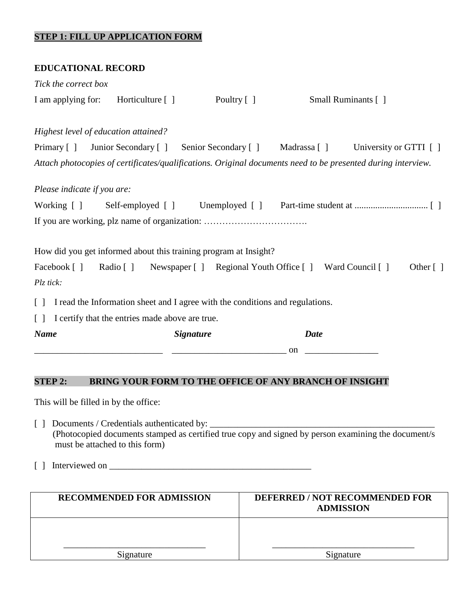## **STEP 1: FILL UP APPLICATION FORM**

| <b>EDUCATIONAL RECORD</b>            |                                                                                                                                    |             |              |                                                                                                                                       |
|--------------------------------------|------------------------------------------------------------------------------------------------------------------------------------|-------------|--------------|---------------------------------------------------------------------------------------------------------------------------------------|
| Tick the correct box                 |                                                                                                                                    |             |              |                                                                                                                                       |
| I am applying for:                   | Horticulture $\lceil \; \rceil$                                                                                                    | Poultry [ ] |              | Small Ruminants [ ]                                                                                                                   |
| Highest level of education attained? | Primary [] Junior Secondary [] Senior Secondary []                                                                                 |             | Madrassa [ ] | University or GTTI []<br>Attach photocopies of certificates/qualifications. Original documents need to be presented during interview. |
| Please indicate if you are:          |                                                                                                                                    |             |              |                                                                                                                                       |
| Working $\lceil \cdot \rceil$        | Self-employed [ ]                                                                                                                  |             |              |                                                                                                                                       |
| Facebook []                          | How did you get informed about this training program at Insight?<br>Radio [] Newspaper [] Regional Youth Office [] Ward Council [] |             |              | Other $\lceil \; \rceil$                                                                                                              |
| Plz tick:                            |                                                                                                                                    |             |              |                                                                                                                                       |
| $\lceil$ $\rceil$                    | I read the Information sheet and I agree with the conditions and regulations.                                                      |             |              |                                                                                                                                       |
| $\lceil \rceil$                      | I certify that the entries made above are true.                                                                                    |             |              |                                                                                                                                       |
| <b>Name</b>                          | <b>Signature</b>                                                                                                                   |             | <b>Date</b>  |                                                                                                                                       |
|                                      |                                                                                                                                    |             | on           |                                                                                                                                       |
|                                      |                                                                                                                                    |             |              |                                                                                                                                       |

# **STEP 2: BRING YOUR FORM TO THE OFFICE OF ANY BRANCH OF INSIGHT**

This will be filled in by the office:

- [ ] Documents / Credentials authenticated by: \_\_\_\_\_\_\_\_\_\_\_\_\_\_\_\_\_\_\_\_\_\_\_\_\_\_\_\_\_\_\_\_\_\_ (Photocopied documents stamped as certified true copy and signed by person examining the document/s must be attached to this form)
- [ ] Interviewed on \_\_\_\_\_\_\_\_\_\_\_\_\_\_\_\_\_\_\_\_\_\_\_\_\_\_\_\_\_\_\_\_\_\_\_\_\_\_\_\_\_\_\_\_

| <b>RECOMMENDED FOR ADMISSION</b> | DEFERRED / NOT RECOMMENDED FOR<br><b>ADMISSION</b> |
|----------------------------------|----------------------------------------------------|
|                                  |                                                    |
| Signature                        | Signature                                          |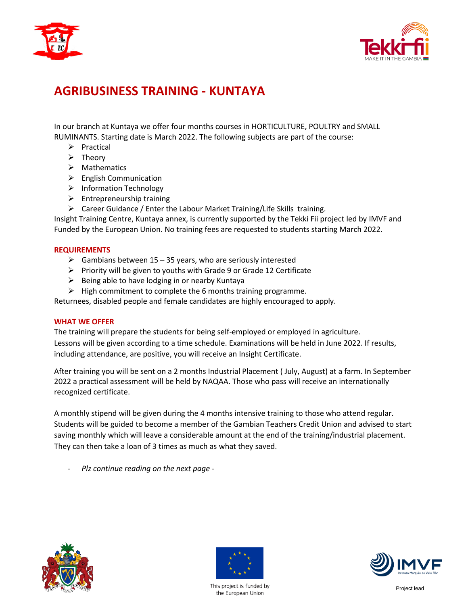



# **AGRIBUSINESS TRAINING - KUNTAYA**

In our branch at Kuntaya we offer four months courses in HORTICULTURE, POULTRY and SMALL RUMINANTS. Starting date is March 2022. The following subjects are part of the course:

- $\triangleright$  Practical
- $\triangleright$  Theory
- $\triangleright$  Mathematics
- $\triangleright$  English Communication
- $\triangleright$  Information Technology
- $\triangleright$  Entrepreneurship training
- $\triangleright$  Career Guidance / Enter the Labour Market Training/Life Skills training.

Insight Training Centre, Kuntaya annex, is currently supported by the Tekki Fii project led by IMVF and Funded by the European Union. No training fees are requested to students starting March 2022.

#### **REQUIREMENTS**

- $\triangleright$  Gambians between 15 35 years, who are seriously interested
- $\triangleright$  Priority will be given to youths with Grade 9 or Grade 12 Certificate
- $\triangleright$  Being able to have lodging in or nearby Kuntaya
- $\triangleright$  High commitment to complete the 6 months training programme.

Returnees, disabled people and female candidates are highly encouraged to apply.

#### **WHAT WE OFFER**

The training will prepare the students for being self-employed or employed in agriculture. Lessons will be given according to a time schedule. Examinations will be held in June 2022. If results, including attendance, are positive, you will receive an Insight Certificate.

After training you will be sent on a 2 months Industrial Placement ( July, August) at a farm. In September 2022 a practical assessment will be held by NAQAA. Those who pass will receive an internationally recognized certificate.

A monthly stipend will be given during the 4 months intensive training to those who attend regular. Students will be guided to become a member of the Gambian Teachers Credit Union and advised to start saving monthly which will leave a considerable amount at the end of the training/industrial placement. They can then take a loan of 3 times as much as what they saved.

- *Plz continue reading on the next page -*





This project is funded by the European Union